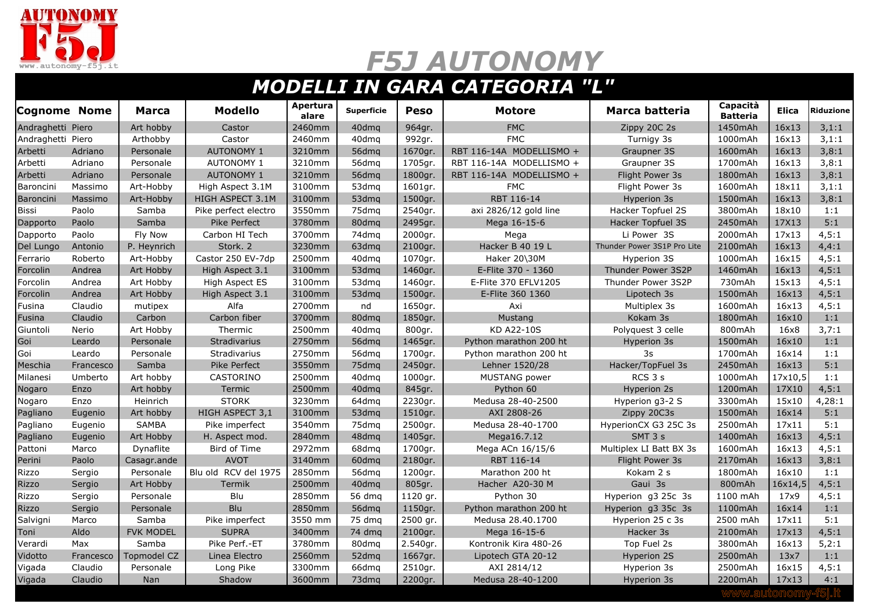

## *F5J AUTONOMY*

## *MODELLI IN GARA CATEGORIA "L"*

| <b>Cognome Nome</b> |           | <b>Marca</b>       | <b>Modello</b>       | Apertura<br>alare | <b>Superficie</b> | <b>Peso</b> | <b>Motore</b>            | Marca batteria              | Capacità<br><b>Batteria</b> | <b>Elica</b> | <b>Riduzione</b> |
|---------------------|-----------|--------------------|----------------------|-------------------|-------------------|-------------|--------------------------|-----------------------------|-----------------------------|--------------|------------------|
| Andraghetti Piero   |           | Art hobby          | Castor               | 2460mm            | 40dma             | 964gr.      | <b>FMC</b>               | Zippy 20C 2s                | 1450mAh                     | 16×13        | 3,1:1            |
| Andraghetti Piero   |           | Arthobby           | Castor               | 2460mm            | 40dmq             | 992gr.      | <b>FMC</b>               | Turnigy 3s                  | 1000mAh                     | 16x13        | 3,1:1            |
| Arbetti             | Adriano   | Personale          | <b>AUTONOMY 1</b>    | 3210mm            | 56dmg             | 1670gr.     | RBT 116-14A MODELLISMO + | Graupner 3S                 | 1600mAh                     | 16×13        | 3,8:1            |
| Arbetti             | Adriano   | Personale          | <b>AUTONOMY 1</b>    | 3210mm            | 56dmg             | 1705gr.     | RBT 116-14A MODELLISMO + | Graupner 3S                 | 1700mAh                     | 16x13        | 3,8:1            |
| Arbetti             | Adriano   | Personale          | <b>AUTONOMY 1</b>    | 3210mm            | 56dmg             | 1800gr.     | RBT 116-14A MODELLISMO + | Flight Power 3s             | 1800mAh                     | 16×13        | 3,8:1            |
| Baroncini           | Massimo   | Art-Hobby          | High Aspect 3.1M     | 3100mm            | 53dmg             | 1601gr.     | <b>FMC</b>               | Flight Power 3s             | 1600mAh                     | 18x11        | 3,1:1            |
| Baroncini           | Massimo   | Art-Hobby          | HIGH ASPECT 3.1M     | 3100mm            | 53dmg             | 1500gr.     | RBT 116-14               | Hyperion 3s                 | 1500mAh                     | 16×13        | 3,8:1            |
| Bissi               | Paolo     | Samba              | Pike perfect electro | 3550mm            | 75dmg             | 2540gr.     | axi 2826/12 gold line    | Hacker Topfuel 2S           | 3800mAh                     | 18x10        | 1:1              |
| Dapporto            | Paolo     | Samba              | Pike Perfect         | 3780mm            | 80dmg             | 2495gr.     | Mega 16-15-6             | <b>Hacker Topfuel 3S</b>    | 2450mAh                     | 17X13        | 5:1              |
| Dapporto            | Paolo     | Fly Now            | Carbon HI Tech       | 3700mm            | 74dma             | 2000gr.     | Mega                     | Li Power 3S                 | 2000mAh                     | 17x13        | 4, 5:1           |
| Del Lungo           | Antonio   | P. Heynrich        | Stork. 2             | 3230mm            | 63dmq             | 2100gr.     | Hacker B 40 19 L         | Thunder Power 3S1P Pro Lite | 2100mAh                     | 16×13        | 4,4:1            |
| Ferrario            | Roberto   | Art-Hobby          | Castor 250 EV-7dp    | 2500mm            | 40dmg             | 1070gr.     | Haker 20\30M             | Hyperion 3S                 | 1000mAh                     | 16×15        | 4, 5:1           |
| Forcolin            | Andrea    | Art Hobby          | High Aspect 3.1      | 3100mm            | 53dma             | 1460gr.     | E-Flite 370 - 1360       | Thunder Power 3S2P          | 1460mAh                     | 16×13        | 4, 5:1           |
| Forcolin            | Andrea    | Art Hobby          | High Aspect ES       | 3100mm            | 53dmg             | 1460gr.     | E-Flite 370 EFLV1205     | Thunder Power 3S2P          | 730mAh                      | 15x13        | 4, 5:1           |
| Forcolin            | Andrea    | Art Hobby          | High Aspect 3.1      | 3100mm            | 53dmg             | 1500gr.     | E-Flite 360 1360         | Lipotech 3s                 | 1500mAh                     | 16×13        | 4, 5:1           |
| Fusina              | Claudio   | mutipex            | Alfa                 | 2700mm            | nd                | 1650gr.     | Axi                      | Multiplex 3s                | 1600mAh                     | 16x13        | 4, 5:1           |
| Fusina              | Claudio   | Carbon             | Carbon fiber         | 3700mm            | 80dmg             | 1850gr.     | Mustang                  | Kokam 3s                    | 1800mAh                     | 16×10        | 1:1              |
| Giuntoli            | Nerio     | Art Hobby          | Thermic              | 2500mm            | 40dmg             | 800gr.      | KD A22-10S               | Polyquest 3 celle           | 800mAh                      | 16x8         | 3.7:1            |
| Goi                 | Leardo    | Personale          | <b>Stradivarius</b>  | 2750mm            | 56dmg             | 1465gr.     | Python marathon 200 ht   | Hyperion 3s                 | 1500mAh                     | 16×10        | 1:1              |
| Goi                 | Leardo    | Personale          | <b>Stradivarius</b>  | 2750mm            | 56dmg             | 1700gr.     | Python marathon 200 ht   | 3s                          | 1700mAh                     | 16x14        | 1:1              |
| Meschia             | Francesco | Samba              | Pike Perfect         | 3550mm            | 75dmg             | 2450gr.     | Lehner 1520/28           | Hacker/TopFuel 3s           | 2450mAh                     | 16×13        | 5:1              |
| Milanesi            | Umberto   | Art hobby          | <b>CASTORINO</b>     | 2500mm            | 40dma             | 1000gr.     | MUSTANG power            | RCS 3 s                     | 1000mAh                     | 17x10,5      | 1:1              |
| Nogaro              | Enzo      | Art hobby          | Termic               | 2500mm            | 40dmg             | 845gr.      | Python 60                | Hyperion 2s                 | 1200mAh                     | 17X10        | 4, 5:1           |
| Nogaro              | Enzo      | Heinrich           | <b>STORK</b>         | 3230mm            | 64dma             | 2230gr.     | Medusa 28-40-2500        | Hyperion q3-2 S             | 3300mAh                     | 15x10        | 4,28:1           |
| Pagliano            | Eugenio   | Art hobby          | HIGH ASPECT 3,1      | 3100mm            | 53dmg             | 1510gr.     | AXI 2808-26              | Zippy 20C3s                 | 1500mAh                     | 16x14        | 5:1              |
| Pagliano            | Eugenio   | <b>SAMBA</b>       | Pike imperfect       | 3540mm            | 75dmg             | 2500gr.     | Medusa 28-40-1700        | HyperionCX G3 25C 3s        | 2500mAh                     | 17x11        | 5:1              |
| Pagliano            | Eugenio   | Art Hobby          | H. Aspect mod.       | 2840mm            | 48dma             | 1405gr.     | Mega16.7.12              | SMT 3 s                     | 1400mAh                     | 16x13        | 4, 5:1           |
| Pattoni             | Marco     | Dynaflite          | Bird of Time         | 2972mm            | 68dmg             | 1700gr.     | Mega ACn 16/15/6         | Multiplex LI Batt BX 3s     | 1600mAh                     | 16x13        | 4, 5:1           |
| Perini              | Paolo     | Casagr.ande        | <b>AVOT</b>          | 3140mm            | 60dmg             | 2180gr.     | RBT 116-14               | Flight Power 3s             | 2170mAh                     | 16×13        | 3,8:1            |
| Rizzo               | Sergio    | Personale          | Blu old RCV del 1975 | 2850mm            | 56dmq             | 1200gr.     | Marathon 200 ht          | Kokam 2 s                   | 1800mAh                     | 16×10        | 1:1              |
| <b>Rizzo</b>        | Sergio    | Art Hobby          | Termik               | 2500mm            | 40dmg             | 805gr.      | Hacher A20-30 M          | Gaui 3s                     | 800mAh                      | 16x14,5      | 4, 5:1           |
| Rizzo               | Sergio    | Personale          | Blu                  | 2850mm            | 56 dmg            | 1120 gr.    | Python 30                | Hyperion g3 25c 3s          | 1100 mAh                    | 17x9         | 4, 5:1           |
| <b>Rizzo</b>        | Sergio    | Personale          | <b>Blu</b>           | 2850mm            | 56dmg             | 1150gr.     | Python marathon 200 ht   | Hyperion g3 35c 3s          | 1100mAh                     | 16x14        | 1:1              |
| Salvigni            | Marco     | Samba              | Pike imperfect       | 3550 mm           | 75 dmg            | 2500 gr.    | Medusa 28.40.1700        | Hyperion 25 c 3s            | 2500 mAh                    | 17x11        | 5:1              |
| Toni                | Aldo      | <b>FVK MODEL</b>   | <b>SUPRA</b>         | 3400mm            | 74 dmq            | 2100gr.     | Mega 16-15-6             | Hacker 3s                   | 2100mAh                     | 17x13        | 4, 5:1           |
| Verardi             | Max       | Samba              | Pike Perf.-ET        | 3780mm            | 80dmq             | 2.540gr.    | Kontronik Kira 480-26    | Top Fuel 2s                 | 3800mAh                     | 16x13        | 5,2:1            |
| Vidotto             | Francesco | <b>Topmodel CZ</b> | Linea Electro        | 2560mm            | 52dmg             | 1667gr.     | Lipotech GTA 20-12       | <b>Hyperion 2S</b>          | 2500mAh                     | 13x7         | 1:1              |
| Vigada              | Claudio   | Personale          | Long Pike            | 3300mm            | 66dmq             | 2510gr.     | AXI 2814/12              | Hyperion 3s                 | 2500mAh                     | 16x15        | 4, 5:1           |
| Vigada              | Claudio   | <b>Nan</b>         | Shadow               | 3600mm            | 73dmg             | 2200gr.     | Medusa 28-40-1200        | Hyperion 3s                 | 2200mAh                     | 17x13        | 4:1              |
|                     |           |                    |                      |                   |                   |             |                          |                             |                             |              |                  |